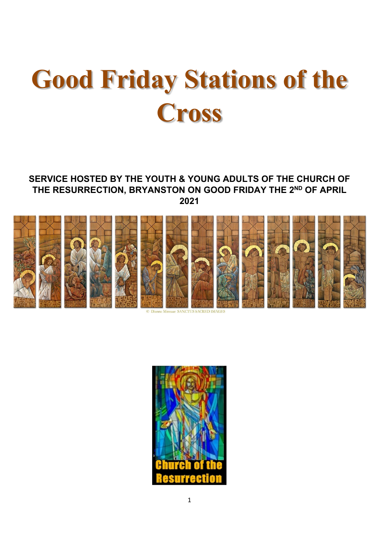# **Good Friday Stations of the Cross**

#### **SERVICE HOSTED BY THE YOUTH & YOUNG ADULTS OF THE CHURCH OF THE RESURRECTION, BRYANSTON ON GOOD FRIDAY THE 2 ND OF APRIL 2021**



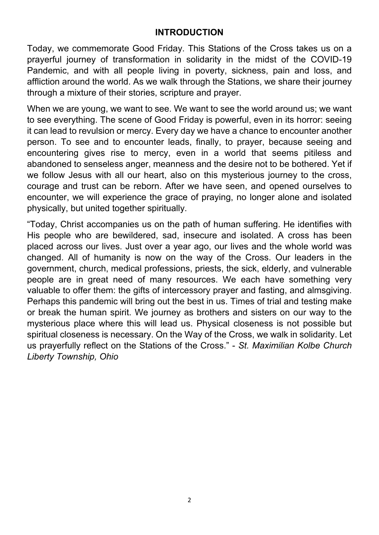#### **INTRODUCTION**

Today, we commemorate Good Friday. This Stations of the Cross takes us on a prayerful journey of transformation in solidarity in the midst of the COVID-19 Pandemic, and with all people living in poverty, sickness, pain and loss, and affliction around the world. As we walk through the Stations, we share their journey through a mixture of their stories, scripture and prayer.

When we are young, we want to see. We want to see the world around us; we want to see everything. The scene of Good Friday is powerful, even in its horror: seeing it can lead to revulsion or mercy. Every day we have a chance to encounter another person. To see and to encounter leads, finally, to prayer, because seeing and encountering gives rise to mercy, even in a world that seems pitiless and abandoned to senseless anger, meanness and the desire not to be bothered. Yet if we follow Jesus with all our heart, also on this mysterious journey to the cross, courage and trust can be reborn. After we have seen, and opened ourselves to encounter, we will experience the grace of praying, no longer alone and isolated physically, but united together spiritually.

"Today, Christ accompanies us on the path of human suffering. He identifies with His people who are bewildered, sad, insecure and isolated. A cross has been placed across our lives. Just over a year ago, our lives and the whole world was changed. All of humanity is now on the way of the Cross. Our leaders in the government, church, medical professions, priests, the sick, elderly, and vulnerable people are in great need of many resources. We each have something very valuable to offer them: the gifts of intercessory prayer and fasting, and almsgiving. Perhaps this pandemic will bring out the best in us. Times of trial and testing make or break the human spirit. We journey as brothers and sisters on our way to the mysterious place where this will lead us. Physical closeness is not possible but spiritual closeness is necessary. On the Way of the Cross, we walk in solidarity. Let us prayerfully reflect on the Stations of the Cross." - *St. Maximilian Kolbe Church Liberty Township, Ohio*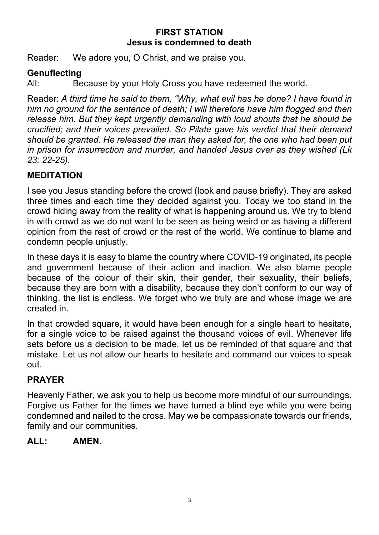#### **FIRST STATION Jesus is condemned to death**

Reader: We adore you, O Christ, and we praise you.

## **Genuflecting**

All: Because by your Holy Cross you have redeemed the world.

Reader: *A third time he said to them, "Why, what evil has he done? I have found in him no ground for the sentence of death; I will therefore have him flogged and then release him. But they kept urgently demanding with loud shouts that he should be crucified; and their voices prevailed. So Pilate gave his verdict that their demand should be granted. He released the man they asked for, the one who had been put in prison for insurrection and murder, and handed Jesus over as they wished (Lk 23: 22-25).*

## **MEDITATION**

I see you Jesus standing before the crowd (look and pause briefly). They are asked three times and each time they decided against you. Today we too stand in the crowd hiding away from the reality of what is happening around us. We try to blend in with crowd as we do not want to be seen as being weird or as having a different opinion from the rest of crowd or the rest of the world. We continue to blame and condemn people unjustly.

In these days it is easy to blame the country where COVID-19 originated, its people and government because of their action and inaction. We also blame people because of the colour of their skin, their gender, their sexuality, their beliefs, because they are born with a disability, because they don't conform to our way of thinking, the list is endless. We forget who we truly are and whose image we are created in.

In that crowded square, it would have been enough for a single heart to hesitate, for a single voice to be raised against the thousand voices of evil. Whenever life sets before us a decision to be made, let us be reminded of that square and that mistake. Let us not allow our hearts to hesitate and command our voices to speak out.

# **PRAYER**

Heavenly Father, we ask you to help us become more mindful of our surroundings. Forgive us Father for the times we have turned a blind eye while you were being condemned and nailed to the cross. May we be compassionate towards our friends, family and our communities.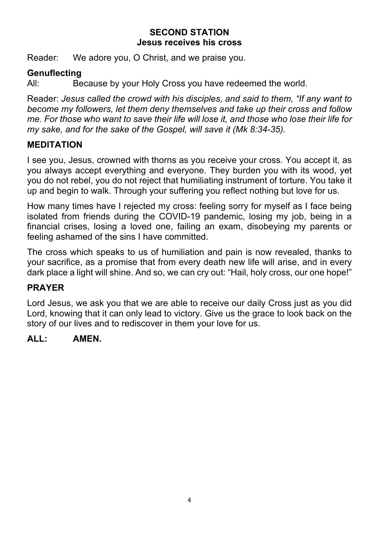#### **SECOND STATION Jesus receives his cross**

Reader: We adore you, O Christ, and we praise you.

# **Genuflecting**

All: Because by your Holy Cross you have redeemed the world.

Reader: *Jesus called the crowd with his disciples, and said to them, "If any want to become my followers, let them deny themselves and take up their cross and follow me. For those who want to save their life will lose it, and those who lose their life for my sake, and for the sake of the Gospel, will save it (Mk 8:34-35).*

# **MEDITATION**

I see you, Jesus, crowned with thorns as you receive your cross. You accept it, as you always accept everything and everyone. They burden you with its wood, yet you do not rebel, you do not reject that humiliating instrument of torture. You take it up and begin to walk. Through your suffering you reflect nothing but love for us.

How many times have I rejected my cross: feeling sorry for myself as I face being isolated from friends during the COVID-19 pandemic, losing my job, being in a financial crises, losing a loved one, failing an exam, disobeying my parents or feeling ashamed of the sins I have committed.

The cross which speaks to us of humiliation and pain is now revealed, thanks to your sacrifice, as a promise that from every death new life will arise, and in every dark place a light will shine. And so, we can cry out: "Hail, holy cross, our one hope!"

# **PRAYER**

Lord Jesus, we ask you that we are able to receive our daily Cross just as you did Lord, knowing that it can only lead to victory. Give us the grace to look back on the story of our lives and to rediscover in them your love for us.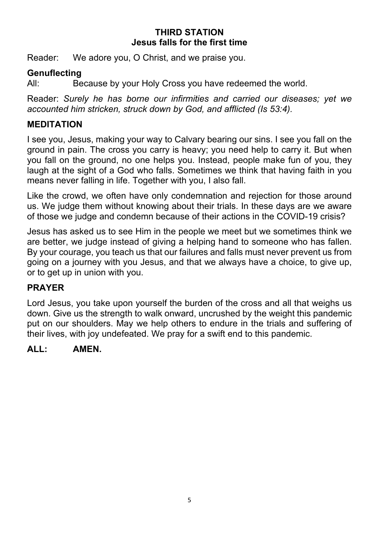#### **THIRD STATION Jesus falls for the first time**

Reader: We adore you, O Christ, and we praise you.

#### **Genuflecting**

All: Because by your Holy Cross you have redeemed the world.

Reader: *Surely he has borne our infirmities and carried our diseases; yet we accounted him stricken, struck down by God, and afflicted (Is 53:4).*

## **MEDITATION**

I see you, Jesus, making your way to Calvary bearing our sins. I see you fall on the ground in pain. The cross you carry is heavy; you need help to carry it. But when you fall on the ground, no one helps you. Instead, people make fun of you, they laugh at the sight of a God who falls. Sometimes we think that having faith in you means never falling in life. Together with you, I also fall.

Like the crowd, we often have only condemnation and rejection for those around us. We judge them without knowing about their trials. In these days are we aware of those we judge and condemn because of their actions in the COVID-19 crisis?

Jesus has asked us to see Him in the people we meet but we sometimes think we are better, we judge instead of giving a helping hand to someone who has fallen. By your courage, you teach us that our failures and falls must never prevent us from going on a journey with you Jesus, and that we always have a choice, to give up, or to get up in union with you.

## **PRAYER**

Lord Jesus, you take upon yourself the burden of the cross and all that weighs us down. Give us the strength to walk onward, uncrushed by the weight this pandemic put on our shoulders. May we help others to endure in the trials and suffering of their lives, with joy undefeated. We pray for a swift end to this pandemic.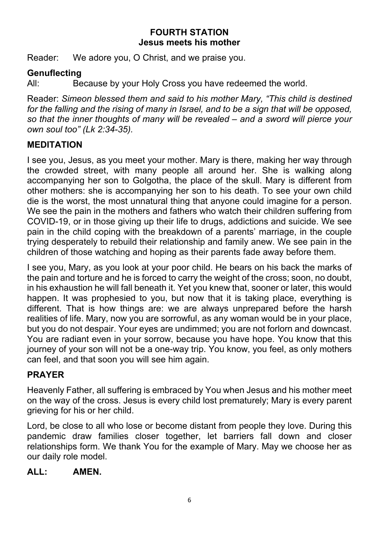#### **FOURTH STATION Jesus meets his mother**

Reader: We adore you, O Christ, and we praise you.

## **Genuflecting**

All: Because by your Holy Cross you have redeemed the world.

Reader: *Simeon blessed them and said to his mother Mary, "This child is destined for the falling and the rising of many in Israel, and to be a sign that will be opposed, so that the inner thoughts of many will be revealed – and a sword will pierce your own soul too" (Lk 2:34-35).*

# **MEDITATION**

I see you, Jesus, as you meet your mother. Mary is there, making her way through the crowded street, with many people all around her. She is walking along accompanying her son to Golgotha, the place of the skull. Mary is different from other mothers: she is accompanying her son to his death. To see your own child die is the worst, the most unnatural thing that anyone could imagine for a person. We see the pain in the mothers and fathers who watch their children suffering from COVID-19, or in those giving up their life to drugs, addictions and suicide. We see pain in the child coping with the breakdown of a parents' marriage, in the couple trying desperately to rebuild their relationship and family anew. We see pain in the children of those watching and hoping as their parents fade away before them.

I see you, Mary, as you look at your poor child. He bears on his back the marks of the pain and torture and he is forced to carry the weight of the cross; soon, no doubt, in his exhaustion he will fall beneath it. Yet you knew that, sooner or later, this would happen. It was prophesied to you, but now that it is taking place, everything is different. That is how things are: we are always unprepared before the harsh realities of life. Mary, now you are sorrowful, as any woman would be in your place, but you do not despair. Your eyes are undimmed; you are not forlorn and downcast. You are radiant even in your sorrow, because you have hope. You know that this journey of your son will not be a one-way trip. You know, you feel, as only mothers can feel, and that soon you will see him again.

# **PRAYER**

Heavenly Father, all suffering is embraced by You when Jesus and his mother meet on the way of the cross. Jesus is every child lost prematurely; Mary is every parent grieving for his or her child.

Lord, be close to all who lose or become distant from people they love. During this pandemic draw families closer together, let barriers fall down and closer relationships form. We thank You for the example of Mary. May we choose her as our daily role model.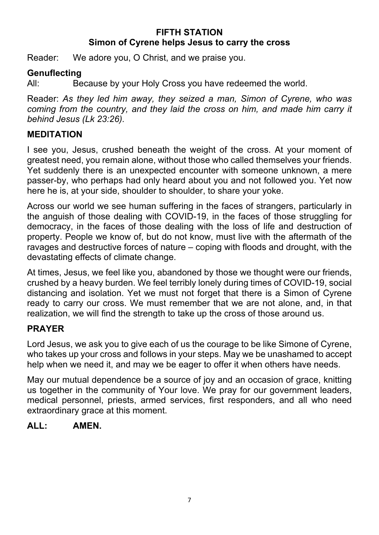## **FIFTH STATION Simon of Cyrene helps Jesus to carry the cross**

Reader: We adore you, O Christ, and we praise you.

#### **Genuflecting**

All: Because by your Holy Cross you have redeemed the world.

Reader: *As they led him away, they seized a man, Simon of Cyrene, who was coming from the country, and they laid the cross on him, and made him carry it behind Jesus (Lk 23:26).*

#### **MEDITATION**

I see you, Jesus, crushed beneath the weight of the cross. At your moment of greatest need, you remain alone, without those who called themselves your friends. Yet suddenly there is an unexpected encounter with someone unknown, a mere passer-by, who perhaps had only heard about you and not followed you. Yet now here he is, at your side, shoulder to shoulder, to share your yoke.

Across our world we see human suffering in the faces of strangers, particularly in the anguish of those dealing with COVID-19, in the faces of those struggling for democracy, in the faces of those dealing with the loss of life and destruction of property. People we know of, but do not know, must live with the aftermath of the ravages and destructive forces of nature – coping with floods and drought, with the devastating effects of climate change.

At times, Jesus, we feel like you, abandoned by those we thought were our friends, crushed by a heavy burden. We feel terribly lonely during times of COVID-19, social distancing and isolation. Yet we must not forget that there is a Simon of Cyrene ready to carry our cross. We must remember that we are not alone, and, in that realization, we will find the strength to take up the cross of those around us.

## **PRAYER**

Lord Jesus, we ask you to give each of us the courage to be like Simone of Cyrene, who takes up your cross and follows in your steps. May we be unashamed to accept help when we need it, and may we be eager to offer it when others have needs.

May our mutual dependence be a source of joy and an occasion of grace, knitting us together in the community of Your love. We pray for our government leaders, medical personnel, priests, armed services, first responders, and all who need extraordinary grace at this moment.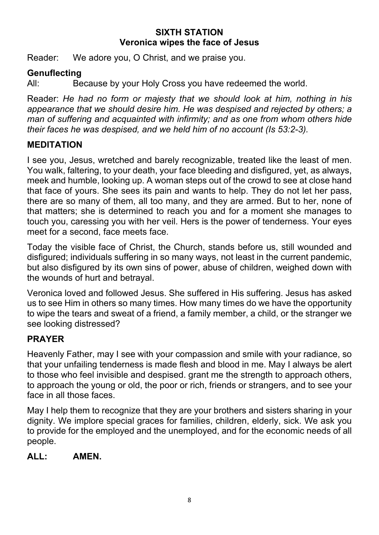## **SIXTH STATION Veronica wipes the face of Jesus**

Reader: We adore you, O Christ, and we praise you.

## **Genuflecting**

All: Because by your Holy Cross you have redeemed the world.

Reader: *He had no form or majesty that we should look at him, nothing in his appearance that we should desire him. He was despised and rejected by others; a man of suffering and acquainted with infirmity; and as one from whom others hide their faces he was despised, and we held him of no account (Is 53:2-3).*

## **MEDITATION**

I see you, Jesus, wretched and barely recognizable, treated like the least of men. You walk, faltering, to your death, your face bleeding and disfigured, yet, as always, meek and humble, looking up. A woman steps out of the crowd to see at close hand that face of yours. She sees its pain and wants to help. They do not let her pass, there are so many of them, all too many, and they are armed. But to her, none of that matters; she is determined to reach you and for a moment she manages to touch you, caressing you with her veil. Hers is the power of tenderness. Your eyes meet for a second, face meets face.

Today the visible face of Christ, the Church, stands before us, still wounded and disfigured; individuals suffering in so many ways, not least in the current pandemic, but also disfigured by its own sins of power, abuse of children, weighed down with the wounds of hurt and betrayal.

Veronica loved and followed Jesus. She suffered in His suffering. Jesus has asked us to see Him in others so many times. How many times do we have the opportunity to wipe the tears and sweat of a friend, a family member, a child, or the stranger we see looking distressed?

# **PRAYER**

Heavenly Father, may I see with your compassion and smile with your radiance, so that your unfailing tenderness is made flesh and blood in me. May I always be alert to those who feel invisible and despised. grant me the strength to approach others, to approach the young or old, the poor or rich, friends or strangers, and to see your face in all those faces.

May I help them to recognize that they are your brothers and sisters sharing in your dignity. We implore special graces for families, children, elderly, sick. We ask you to provide for the employed and the unemployed, and for the economic needs of all people.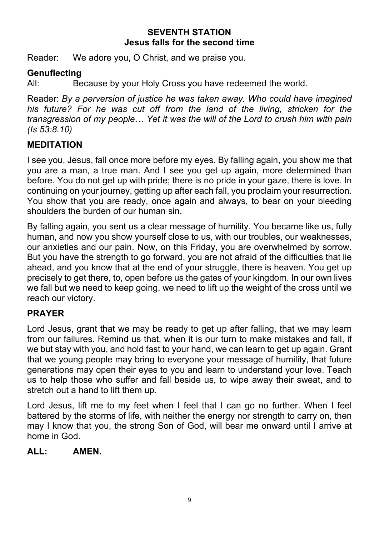#### **SEVENTH STATION Jesus falls for the second time**

Reader: We adore you, O Christ, and we praise you.

## **Genuflecting**

All: Because by your Holy Cross you have redeemed the world.

Reader: *By a perversion of justice he was taken away. Who could have imagined his future? For he was cut off from the land of the living, stricken for the transgression of my people… Yet it was the will of the Lord to crush him with pain (Is 53:8.10)*

# **MEDITATION**

I see you, Jesus, fall once more before my eyes. By falling again, you show me that you are a man, a true man. And I see you get up again, more determined than before. You do not get up with pride; there is no pride in your gaze, there is love. In continuing on your journey, getting up after each fall, you proclaim your resurrection. You show that you are ready, once again and always, to bear on your bleeding shoulders the burden of our human sin.

By falling again, you sent us a clear message of humility. You became like us, fully human, and now you show yourself close to us, with our troubles, our weaknesses, our anxieties and our pain. Now, on this Friday, you are overwhelmed by sorrow. But you have the strength to go forward, you are not afraid of the difficulties that lie ahead, and you know that at the end of your struggle, there is heaven. You get up precisely to get there, to, open before us the gates of your kingdom. In our own lives we fall but we need to keep going, we need to lift up the weight of the cross until we reach our victory.

## **PRAYER**

Lord Jesus, grant that we may be ready to get up after falling, that we may learn from our failures. Remind us that, when it is our turn to make mistakes and fall, if we but stay with you, and hold fast to your hand, we can learn to get up again. Grant that we young people may bring to everyone your message of humility, that future generations may open their eyes to you and learn to understand your love. Teach us to help those who suffer and fall beside us, to wipe away their sweat, and to stretch out a hand to lift them up.

Lord Jesus, lift me to my feet when I feel that I can go no further. When I feel battered by the storms of life, with neither the energy nor strength to carry on, then may I know that you, the strong Son of God, will bear me onward until I arrive at home in God.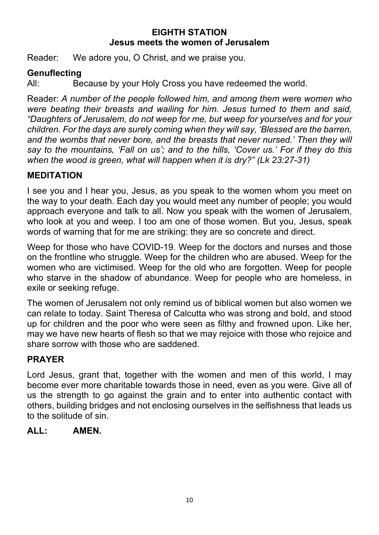## **EIGHTH STATION Jesus meets the women of Jerusalem**

Reader: We adore you, O Christ, and we praise you.

## **Genuflecting**

All: Because by your Holy Cross you have redeemed the world.

Reader: *A number of the people followed him, and among them were women who were beating their breasts and wailing for him. Jesus turned to them and said, "Daughters of Jerusalem, do not weep for me, but weep for yourselves and for your children. For the days are surely coming when they will say, 'Blessed are the barren, and the wombs that never bore, and the breasts that never nursed.' Then they will say to the mountains, 'Fall on us'; and to the hills, 'Cover us.' For if they do this when the wood is green, what will happen when it is dry?" (Lk 23:27-31)*

#### **MEDITATION**

I see you and I hear you, Jesus, as you speak to the women whom you meet on the way to your death. Each day you would meet any number of people; you would approach everyone and talk to all. Now you speak with the women of Jerusalem, who look at you and weep. I too am one of those women. But you, Jesus, speak words of warning that for me are striking: they are so concrete and direct.

Weep for those who have COVID-19. Weep for the doctors and nurses and those on the frontline who struggle. Weep for the children who are abused. Weep for the women who are victimised. Weep for the old who are forgotten. Weep for people who starve in the shadow of abundance. Weep for people who are homeless, in exile or seeking refuge.

The women of Jerusalem not only remind us of biblical women but also women we can relate to today. Saint Theresa of Calcutta who was strong and bold, and stood up for children and the poor who were seen as filthy and frowned upon. Like her, may we have new hearts of flesh so that we may rejoice with those who rejoice and share sorrow with those who are saddened.

## **PRAYER**

Lord Jesus, grant that, together with the women and men of this world, I may become ever more charitable towards those in need, even as you were. Give all of us the strength to go against the grain and to enter into authentic contact with others, building bridges and not enclosing ourselves in the selfishness that leads us to the solitude of sin.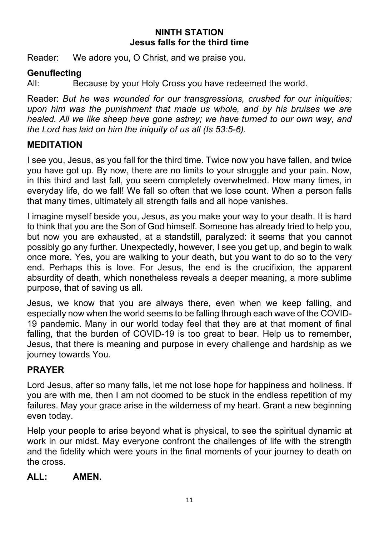## **NINTH STATION Jesus falls for the third time**

Reader: We adore you, O Christ, and we praise you.

## **Genuflecting**

All: Because by your Holy Cross you have redeemed the world.

Reader: *But he was wounded for our transgressions, crushed for our iniquities; upon him was the punishment that made us whole, and by his bruises we are healed. All we like sheep have gone astray; we have turned to our own way, and the Lord has laid on him the iniquity of us all (Is 53:5-6).*

# **MEDITATION**

I see you, Jesus, as you fall for the third time. Twice now you have fallen, and twice you have got up. By now, there are no limits to your struggle and your pain. Now, in this third and last fall, you seem completely overwhelmed. How many times, in everyday life, do we fall! We fall so often that we lose count. When a person falls that many times, ultimately all strength fails and all hope vanishes.

I imagine myself beside you, Jesus, as you make your way to your death. It is hard to think that you are the Son of God himself. Someone has already tried to help you, but now you are exhausted, at a standstill, paralyzed: it seems that you cannot possibly go any further. Unexpectedly, however, I see you get up, and begin to walk once more. Yes, you are walking to your death, but you want to do so to the very end. Perhaps this is love. For Jesus, the end is the crucifixion, the apparent absurdity of death, which nonetheless reveals a deeper meaning, a more sublime purpose, that of saving us all.

Jesus, we know that you are always there, even when we keep falling, and especially now when the world seems to be falling through each wave of the COVID-19 pandemic. Many in our world today feel that they are at that moment of final falling, that the burden of COVID-19 is too great to bear. Help us to remember, Jesus, that there is meaning and purpose in every challenge and hardship as we journey towards You.

# **PRAYER**

Lord Jesus, after so many falls, let me not lose hope for happiness and holiness. If you are with me, then I am not doomed to be stuck in the endless repetition of my failures. May your grace arise in the wilderness of my heart. Grant a new beginning even today.

Help your people to arise beyond what is physical, to see the spiritual dynamic at work in our midst. May everyone confront the challenges of life with the strength and the fidelity which were yours in the final moments of your journey to death on the cross.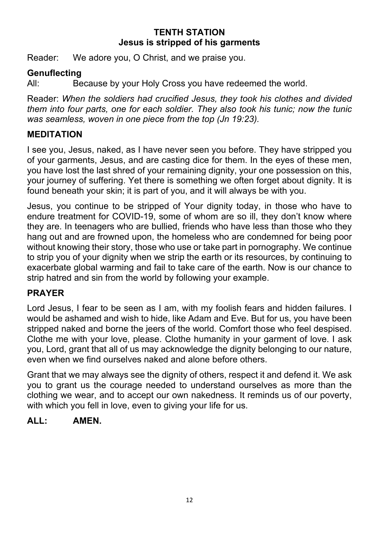## **TENTH STATION Jesus is stripped of his garments**

Reader: We adore you, O Christ, and we praise you.

## **Genuflecting**

All: Because by your Holy Cross you have redeemed the world.

Reader: *When the soldiers had crucified Jesus, they took his clothes and divided them into four parts, one for each soldier. They also took his tunic; now the tunic was seamless, woven in one piece from the top (Jn 19:23).*

## **MEDITATION**

I see you, Jesus, naked, as I have never seen you before. They have stripped you of your garments, Jesus, and are casting dice for them. In the eyes of these men, you have lost the last shred of your remaining dignity, your one possession on this, your journey of suffering. Yet there is something we often forget about dignity. It is found beneath your skin; it is part of you, and it will always be with you.

Jesus, you continue to be stripped of Your dignity today, in those who have to endure treatment for COVID-19, some of whom are so ill, they don't know where they are. In teenagers who are bullied, friends who have less than those who they hang out and are frowned upon, the homeless who are condemned for being poor without knowing their story, those who use or take part in pornography. We continue to strip you of your dignity when we strip the earth or its resources, by continuing to exacerbate global warming and fail to take care of the earth. Now is our chance to strip hatred and sin from the world by following your example.

## **PRAYER**

Lord Jesus, I fear to be seen as I am, with my foolish fears and hidden failures. I would be ashamed and wish to hide, like Adam and Eve. But for us, you have been stripped naked and borne the jeers of the world. Comfort those who feel despised. Clothe me with your love, please. Clothe humanity in your garment of love. I ask you, Lord, grant that all of us may acknowledge the dignity belonging to our nature, even when we find ourselves naked and alone before others.

Grant that we may always see the dignity of others, respect it and defend it. We ask you to grant us the courage needed to understand ourselves as more than the clothing we wear, and to accept our own nakedness. It reminds us of our poverty, with which you fell in love, even to giving your life for us.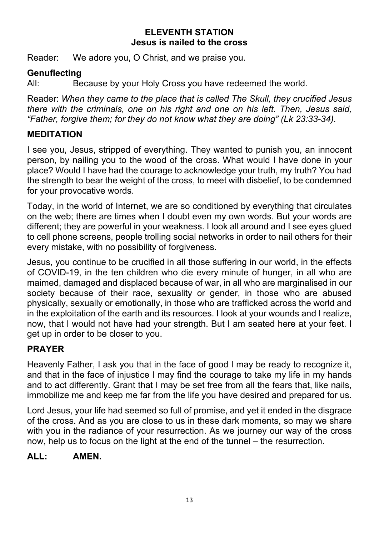#### **ELEVENTH STATION Jesus is nailed to the cross**

Reader: We adore you, O Christ, and we praise you.

## **Genuflecting**

All: Because by your Holy Cross you have redeemed the world.

Reader: *When they came to the place that is called The Skull, they crucified Jesus there with the criminals, one on his right and one on his left. Then, Jesus said, "Father, forgive them; for they do not know what they are doing" (Lk 23:33-34).*

# **MEDITATION**

I see you, Jesus, stripped of everything. They wanted to punish you, an innocent person, by nailing you to the wood of the cross. What would I have done in your place? Would I have had the courage to acknowledge your truth, my truth? You had the strength to bear the weight of the cross, to meet with disbelief, to be condemned for your provocative words.

Today, in the world of Internet, we are so conditioned by everything that circulates on the web; there are times when I doubt even my own words. But your words are different; they are powerful in your weakness. I look all around and I see eyes glued to cell phone screens, people trolling social networks in order to nail others for their every mistake, with no possibility of forgiveness.

Jesus, you continue to be crucified in all those suffering in our world, in the effects of COVID-19, in the ten children who die every minute of hunger, in all who are maimed, damaged and displaced because of war, in all who are marginalised in our society because of their race, sexuality or gender, in those who are abused physically, sexually or emotionally, in those who are trafficked across the world and in the exploitation of the earth and its resources. I look at your wounds and I realize, now, that I would not have had your strength. But I am seated here at your feet. I get up in order to be closer to you.

# **PRAYER**

Heavenly Father, I ask you that in the face of good I may be ready to recognize it, and that in the face of injustice I may find the courage to take my life in my hands and to act differently. Grant that I may be set free from all the fears that, like nails, immobilize me and keep me far from the life you have desired and prepared for us.

Lord Jesus, your life had seemed so full of promise, and yet it ended in the disgrace of the cross. And as you are close to us in these dark moments, so may we share with you in the radiance of your resurrection. As we journey our way of the cross now, help us to focus on the light at the end of the tunnel – the resurrection.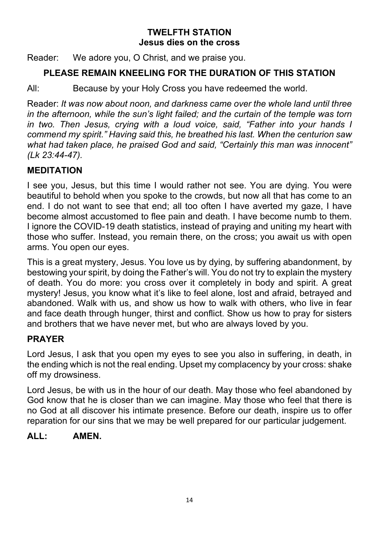## **TWELFTH STATION Jesus dies on the cross**

Reader: We adore you, O Christ, and we praise you.

# **PLEASE REMAIN KNEELING FOR THE DURATION OF THIS STATION**

All: Because by your Holy Cross you have redeemed the world.

Reader: *It was now about noon, and darkness came over the whole land until three in the afternoon, while the sun's light failed; and the curtain of the temple was torn in two. Then Jesus, crying with a loud voice, said, "Father into your hands I commend my spirit." Having said this, he breathed his last. When the centurion saw what had taken place, he praised God and said, "Certainly this man was innocent" (Lk 23:44-47).*

# **MEDITATION**

I see you, Jesus, but this time I would rather not see. You are dying. You were beautiful to behold when you spoke to the crowds, but now all that has come to an end. I do not want to see that end; all too often I have averted my gaze, I have become almost accustomed to flee pain and death. I have become numb to them. I ignore the COVID-19 death statistics, instead of praying and uniting my heart with those who suffer. Instead, you remain there, on the cross; you await us with open arms. You open our eyes.

This is a great mystery, Jesus. You love us by dying, by suffering abandonment, by bestowing your spirit, by doing the Father's will. You do not try to explain the mystery of death. You do more: you cross over it completely in body and spirit. A great mystery! Jesus, you know what it's like to feel alone, lost and afraid, betrayed and abandoned. Walk with us, and show us how to walk with others, who live in fear and face death through hunger, thirst and conflict. Show us how to pray for sisters and brothers that we have never met, but who are always loved by you.

# **PRAYER**

Lord Jesus, I ask that you open my eyes to see you also in suffering, in death, in the ending which is not the real ending. Upset my complacency by your cross: shake off my drowsiness.

Lord Jesus, be with us in the hour of our death. May those who feel abandoned by God know that he is closer than we can imagine. May those who feel that there is no God at all discover his intimate presence. Before our death, inspire us to offer reparation for our sins that we may be well prepared for our particular judgement.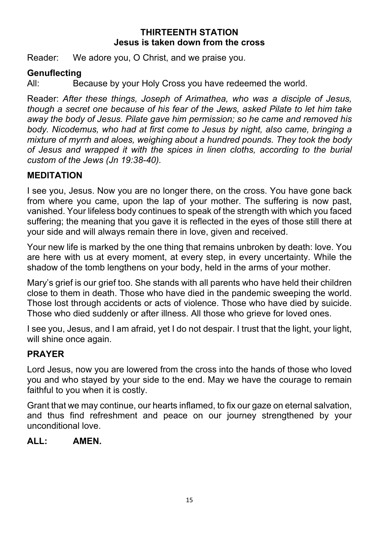## **THIRTEENTH STATION Jesus is taken down from the cross**

Reader: We adore you, O Christ, and we praise you.

#### **Genuflecting**

All: Because by your Holy Cross you have redeemed the world.

Reader: *After these things, Joseph of Arimathea, who was a disciple of Jesus, though a secret one because of his fear of the Jews, asked Pilate to let him take away the body of Jesus. Pilate gave him permission; so he came and removed his body. Nicodemus, who had at first come to Jesus by night, also came, bringing a mixture of myrrh and aloes, weighing about a hundred pounds. They took the body of Jesus and wrapped it with the spices in linen cloths, according to the burial custom of the Jews (Jn 19:38-40).*

#### **MEDITATION**

I see you, Jesus. Now you are no longer there, on the cross. You have gone back from where you came, upon the lap of your mother. The suffering is now past, vanished. Your lifeless body continues to speak of the strength with which you faced suffering; the meaning that you gave it is reflected in the eyes of those still there at your side and will always remain there in love, given and received.

Your new life is marked by the one thing that remains unbroken by death: love. You are here with us at every moment, at every step, in every uncertainty. While the shadow of the tomb lengthens on your body, held in the arms of your mother.

Mary's grief is our grief too. She stands with all parents who have held their children close to them in death. Those who have died in the pandemic sweeping the world. Those lost through accidents or acts of violence. Those who have died by suicide. Those who died suddenly or after illness. All those who grieve for loved ones.

I see you, Jesus, and I am afraid, yet I do not despair. I trust that the light, your light, will shine once again.

#### **PRAYER**

Lord Jesus, now you are lowered from the cross into the hands of those who loved you and who stayed by your side to the end. May we have the courage to remain faithful to you when it is costly.

Grant that we may continue, our hearts inflamed, to fix our gaze on eternal salvation, and thus find refreshment and peace on our journey strengthened by your unconditional love.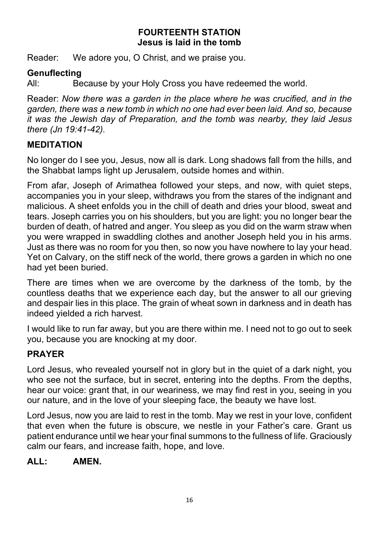## **FOURTEENTH STATION Jesus is laid in the tomb**

Reader: We adore you, O Christ, and we praise you.

## **Genuflecting**

All: Because by your Holy Cross you have redeemed the world.

Reader: *Now there was a garden in the place where he was crucified, and in the garden, there was a new tomb in which no one had ever been laid. And so, because it was the Jewish day of Preparation, and the tomb was nearby, they laid Jesus there (Jn 19:41-42).*

## **MEDITATION**

No longer do I see you, Jesus, now all is dark. Long shadows fall from the hills, and the Shabbat lamps light up Jerusalem, outside homes and within.

From afar, Joseph of Arimathea followed your steps, and now, with quiet steps, accompanies you in your sleep, withdraws you from the stares of the indignant and malicious. A sheet enfolds you in the chill of death and dries your blood, sweat and tears. Joseph carries you on his shoulders, but you are light: you no longer bear the burden of death, of hatred and anger. You sleep as you did on the warm straw when you were wrapped in swaddling clothes and another Joseph held you in his arms. Just as there was no room for you then, so now you have nowhere to lay your head. Yet on Calvary, on the stiff neck of the world, there grows a garden in which no one had yet been buried.

There are times when we are overcome by the darkness of the tomb, by the countless deaths that we experience each day, but the answer to all our grieving and despair lies in this place. The grain of wheat sown in darkness and in death has indeed yielded a rich harvest.

I would like to run far away, but you are there within me. I need not to go out to seek you, because you are knocking at my door.

## **PRAYER**

Lord Jesus, who revealed yourself not in glory but in the quiet of a dark night, you who see not the surface, but in secret, entering into the depths. From the depths, hear our voice: grant that, in our weariness, we may find rest in you, seeing in you our nature, and in the love of your sleeping face, the beauty we have lost.

Lord Jesus, now you are laid to rest in the tomb. May we rest in your love, confident that even when the future is obscure, we nestle in your Father's care. Grant us patient endurance until we hear your final summons to the fullness of life. Graciously calm our fears, and increase faith, hope, and love.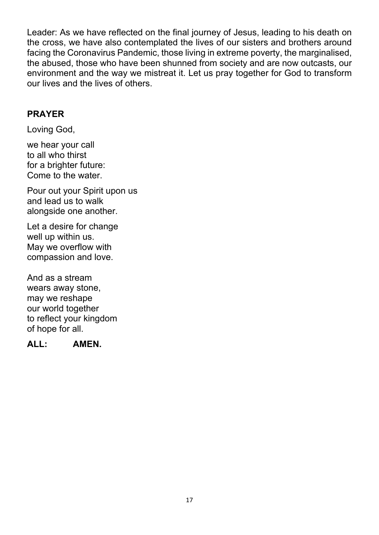Leader: As we have reflected on the final journey of Jesus, leading to his death on the cross, we have also contemplated the lives of our sisters and brothers around facing the Coronavirus Pandemic, those living in extreme poverty, the marginalised, the abused, those who have been shunned from society and are now outcasts, our environment and the way we mistreat it. Let us pray together for God to transform our lives and the lives of others.

## **PRAYER**

Loving God,

we hear your call to all who thirst for a brighter future: Come to the water.

Pour out your Spirit upon us and lead us to walk alongside one another.

Let a desire for change well up within us. May we overflow with compassion and love.

And as a stream wears away stone, may we reshape our world together to reflect your kingdom of hope for all.